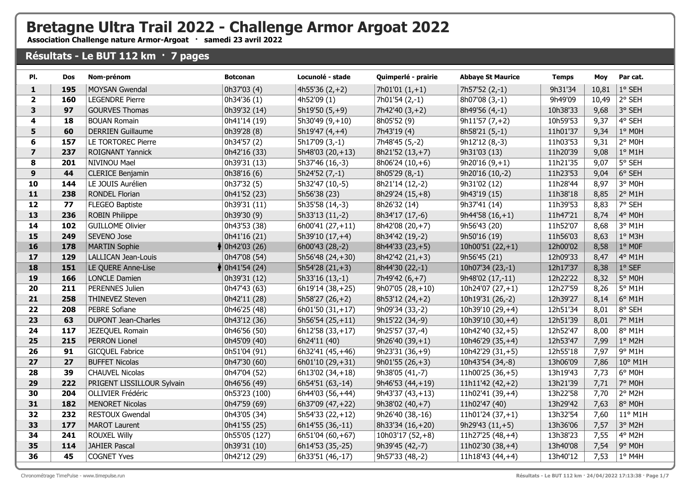## **Bretagne Ultra Trail 2022 - Challenge Armor Argoat 2022**

**Association Challenge nature Armor-Argoat · samedi 23 avril 2022**

## **Résultats - Le BUT 112 km · 7 pages**

| PI.                     | <b>Dos</b> | Nom-prénom                 | <b>Botconan</b>            | Locunolé - stade          | Quimperlé - prairie | <b>Abbaye St Maurice</b> | <b>Temps</b> | Moy   | Par cat.         |
|-------------------------|------------|----------------------------|----------------------------|---------------------------|---------------------|--------------------------|--------------|-------|------------------|
| $\mathbf{1}$            | 195        | MOYSAN Gwendal             | 0h37'03 (4)                | $4h55'36(2,+2)$           | $7h01'01(1,+1)$     | 7h57'52 (2,-1)           | 9h31'34      | 10,81 | 1° SEH           |
| $\mathbf{2}$            | 160        | <b>LEGENDRE Pierre</b>     | 0h34'36(1)                 | 4h52'09 (1)               | 7h01'54 (2,-1)      | 8h07'08 (3,-1)           | 9h49'09      | 10,49 | 2° SEH           |
| 3                       | 97         | <b>GOURVES Thomas</b>      | 0h39'32 (14)               | $5h19'50(5,+9)$           | $7h42'40(3,+2)$     | 8h49'56 (4,-1)           | 10h38'33     | 9,68  | 3° SEH           |
| 4                       | 18         | <b>BOUAN Romain</b>        | 0h41'14 (19)               | 5h30'49 (9,+10)           | 8h05'52 (9)         | $9h11'57(7,+2)$          | 10h59'53     | 9,37  | 4° SEH           |
| 5                       | 60         | <b>DERRIEN Guillaume</b>   | 0h39'28 (8)                | 5h19'47 (4,+4)            | 7h43'19 (4)         | 8h58'21 (5,-1)           | 11h01'37     | 9,34  | 1° MOH           |
| 6                       | 157        | LE TORTOREC Pierre         | 0h34'57 (2)                | $\overline{5h17}09(3,-1)$ | $7h48'45(5,-2)$     | $9h12'12(8,-3)$          | 11h03'53     | 9,31  | 2° MOH           |
| $\overline{\mathbf{z}}$ | 237        | ROIGNANT Yannick           | 0h42'16 (33)               | $5h48'03(20,+13)$         | 8h21'52 (13,+7)     | 9h31'03 (13)             | 11h20'39     | 9,08  | $1°$ M1H         |
| 8                       | 201        | NIVINOU Mael               | 0h39'31 (13)               | 5h37'46 (16,-3)           | $8h06'24(10,+6)$    | $9h20'16(9,+1)$          | 11h21'35     | 9,07  | 5° SEH           |
| 9                       | 44         | <b>CLERICE Benjamin</b>    | 0h38'16(6)                 | $5h24'52(7,-1)$           | 8h05'29 (8,-1)      | 9h20'16 (10,-2)          | 11h23'53     | 9,04  | $ 6^{\circ}$ SEH |
| 10                      | 144        | LE JOUIS Aurélien          | 0h37'32 (5)                | 5h32'47 (10,-5)           | 8h21'14 (12,-2)     | 9h31'02 (12)             | 11h28'44     | 8,97  | 3° MOH           |
| 11                      | 238        | <b>RONDEL Florian</b>      | 0h41'52 (23)               | 5h56'38 (23)              | 8h29'24 (15,+8)     | 9h43'19 (15)             | 11h38'18     | 8,85  | 2° M1H           |
| 12                      | 77         | <b>FLEGEO Baptiste</b>     | 0h39'31 (11)               | 5h35'58 (14,-3)           | 8h26'32 (14)        | 9h37'41 (14)             | 11h39'53     | 8,83  | 7° SEH           |
| 13                      | 236        | <b>ROBIN Philippe</b>      | 0h39'30 (9)                | 5h33'13 (11,-2)           | 8h34'17 (17,-6)     | $9h44'58(16,+1)$         | 11h47'21     | 8,74  | 4° M0H           |
| 14                      | 102        | <b>GUILLOME Olivier</b>    | 0h43'53 (38)               | 6h00'41 (27,+11)          | 8h42'08 (20,+7)     | 9h56'43 (20)             | 11h52'07     | 8,68  | 3° M1H           |
| 15                      | 249        | SEVENO Jose                | 0h41'16 (21)               | 5h39'10 (17,+4)           | 8h34'42 (19,-2)     | 9h50'16 (19)             | 11h56'03     | 8,63  | 1° M3H           |
| 16                      | 178        | <b>MARTIN Sophie</b>       | $\big  0h42'03(26) \big $  | 6h00'43 (28,-2)           | 8h44'33 (23,+5)     | 10h00'51 $(22, +1)$      | 12h00'02     | 8,58  | $1°$ MOF         |
| 17                      | 129        | LALLICAN Jean-Louis        | 0h47'08 (54)               | 5h56'48 (24,+30)          | 8h42'42 (21,+3)     | 9h56'45 (21)             | 12h09'33     | 8,47  | 4° M1H           |
| 18                      | 151        | LE QUERE Anne-Lise         | $\frac{1}{3}$ 0h41'54 (24) | $5h54'28(21,+3)$          | 8h44'30 (22,-1)     | 10h07'34 (23,-1)         | 12h17'37     | 8,38  | $ 1^{\circ}$ SEF |
| 19                      | 166        | <b>LONCLE Damien</b>       | 0h39'31 (12)               | 5h33'16 (13,-1)           | 7h49'42 (6,+7)      | 9h48'02 (17,-11)         | 12h22'22     | 8,32  | 5° M0H           |
| 20                      | 211        | PERENNES Julien            | 0h47'43 (63)               | 6h19'14 (38,+25)          | $9h07'05(28,+10)$   | 10h24'07 $(27, +1)$      | 12h27'59     | 8,26  | 5° M1H           |
| 21                      | 258        | THINEVEZ Steven            | 0h42'11 (28)               | $5h58'27(26,+2)$          | $8h53'12(24,+2)$    | 10h19'31 (26,-2)         | 12h39'27     | 8,14  | 6° M1H           |
| 22                      | 208        | <b>PEBRE Sofiane</b>       | 0h46'25 (48)               | $6h01'50(31,+17)$         | 9h09'34 (33,-2)     | 10h39'10 (29,+4)         | 12h51'34     | 8,01  | 8° SEH           |
| 23                      | 63         | <b>DUPONT Jean-Charles</b> | 0h43'12 (36)               | $5h56'54(25,+11)$         | 9h15'22 (34,-9)     | 10h39'10 (30,+4)         | 12h51'39     | 8,01  | 7° M1H           |
| 24                      | 117        | JEZEQUEL Romain            | 0h46'56 (50)               | 6h12'58 (33,+17)          | 9h25'57 (37,-4)     | 10h42'40 (32,+5)         | 12h52'47     | 8,00  | 8° M1H           |
| 25                      | 215        | <b>PERRON Lionel</b>       | 0h45'09 (40)               | 6h24'11 (40)              | 9h26'40 (39,+1)     | 10h46'29 (35,+4)         | 12h53'47     | 7,99  | 1° M2H           |
| 26                      | 91         | <b>GICQUEL Fabrice</b>     | 0h51'04 (91)               | 6h32'41 (45,+46)          | $9h23'31(36,+9)$    | 10h42'29 (31,+5)         | 12h55'18     | 7,97  | 9° M1H           |
| 27                      | 27         | <b>BUFFET Nicolas</b>      | 0h47'30 (60)               | 6h01'10 (29,+31)          | $9h01'55(26,+3)$    | 10h43'54 (34,-8)         | 13h06'09     | 7,86  | 10° M1H          |
| 28                      | 39         | <b>CHAUVEL Nicolas</b>     | 0h47'04 (52)               | $6h13'02(34,+18)$         | 9h38'05 (41,-7)     | 11h00'25 (36,+5)         | 13h19'43     | 7,73  | 6° M0H           |
| 29                      | 222        | PRIGENT LISSILLOUR Sylvain | 0h46'56 (49)               | 6h54'51 (63,-14)          | 9h46'53 (44,+19)    | 11h11'42 $(42, +2)$      | 13h21'39     | 7,71  | 7° M0H           |
| 30                      | 204        | OLLIVIER Frédéric          | 0h53'23 (100)              | 6h44'03 (56,+44)          | 9h43'37 (43,+13)    | 11h02'41 (39,+4)         | 13h22'58     | 7,70  | 2° M2H           |
| 31                      | 182        | <b>MENORET Nicolas</b>     | 0h47'59 (69)               | 6h37'09 (47, +22)         | $9h38'02(40,+7)$    | 11h02'47 (40)            | 13h29'42     | 7,63  | 8° M0H           |
| 32                      | 232        | <b>RESTOUX Gwendal</b>     | 0h43'05 (34)               | $5h54'33(22,+12)$         | 9h26'40 (38,-16)    | 11h01'24 $(37, +1)$      | 13h32'54     | 7,60  | 11° M1H          |
| 33                      | 177        | <b>MAROT Laurent</b>       | 0h41'55 (25)               | 6h14'55 (36,-11)          | 8h33'34 (16,+20)    | $9h29'43(11,+5)$         | 13h36'06     | 7,57  | 3° M2H           |
| 34                      | 241        | <b>ROUXEL Willy</b>        | 0h55'05 (127)              | 6h51'04 (60,+67)          | 10h03'17 $(52, +8)$ | $11h27'25(48,+4)$        | 13h38'23     | 7,55  | 4° M2H           |
| 35                      | 114        | <b>JAHIER Pascal</b>       | 0h39'31 (10)               | 6h14'53 (35,-25)          | 9h39'45 (42,-7)     | 11h02'30 (38,+4)         | 13h40'08     | 7,54  | 9° M0H           |
| 36                      | 45         | <b>COGNET Yves</b>         | 0h42'12 (29)               | 6h33'51 (46,-17)          | 9h57'33 (48,-2)     | 11h18'43 $(44, +4)$      | 13h40'12     | 7,53  | 1° M4H           |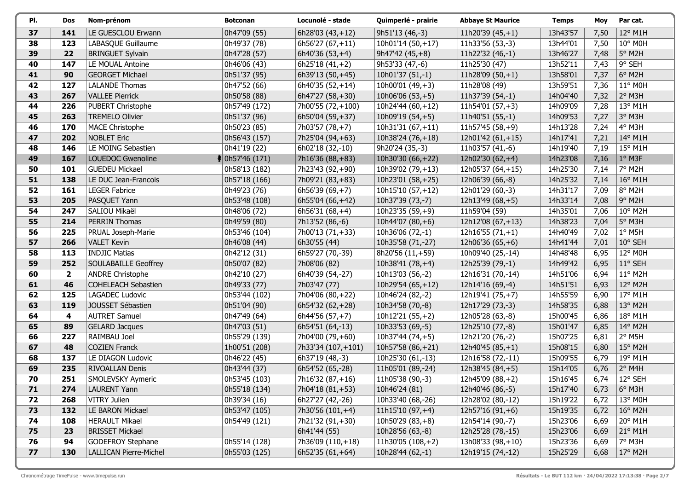| PI. | Dos            | Nom-prénom                    | <b>Botconan</b>             | Locunolé - stade    | Quimperlé - prairie  | <b>Abbaye St Maurice</b> | <b>Temps</b> | Moy  | Par cat.         |
|-----|----------------|-------------------------------|-----------------------------|---------------------|----------------------|--------------------------|--------------|------|------------------|
| 37  | 141            | LE GUESCLOU Erwann            | 0h47'09 (55)                | 6h28'03 $(43, +12)$ | 9h51'13 (46,-3)      | 11h20'39 $(45, +1)$      | 13h43'57     | 7,50 | 12° M1H          |
| 38  | 123            | LABASQUE Guillaume            | 0h49'37 (78)                | $6h56'27(67,+11)$   | 10h01'14 (50,+17)    | 11h33'56 (53,-3)         | 13h44'01     | 7,50 | 10° M0H          |
| 39  | 22             | <b>BRINGUET Sylvain</b>       | 0h47'28 (57)                | $6h40'36(53,+4)$    | $9h47'42(45,+8)$     | 11h22'32 (46,-1)         | 13h46'27     | 7,48 | 5° M2H           |
| 40  | 147            | LE MOUAL Antoine              | 0h46'06 (43)                | 6h25'18 $(41,+2)$   | 9h53'33 (47,-6)      | 11h25'30 (47)            | 13h52'11     | 7,43 | 9° SEH           |
| 41  | 90             | <b>GEORGET Michael</b>        | 0h51'37 (95)                | 6h39'13 (50,+45)    | 10h01'37 (51,-1)     | 11h28'09 $(50,+1)$       | 13h58'01     | 7,37 | 6° M2H           |
| 42  | 127            | <b>LALANDE Thomas</b>         | 0h47'52 (66)                | 6h40'35 (52,+14)    | 10h00'01 (49,+3)     | 11h28'08 (49)            | 13h59'51     | 7,36 | 11° M0H          |
| 43  | 267            | <b>VALLEE Pierrick</b>        | 0h50'58 (88)                | 6h47'27 (58,+30)    | 10h06'06 $(53, +5)$  | 11h37'39 (54,-1)         | 14h04'40     | 7,32 | 2° M3H           |
| 44  | 226            | PUBERT Christophe             | 0h57'49 (172)               | 7h00'55 (72,+100)   | 10h24'44 (60,+12)    | 11h54'01 $(57, +3)$      | 14h09'09     | 7,28 | 13° M1H          |
| 45  | 263            | <b>TREMELO Olivier</b>        | 0h51'37 (96)                | 6h50'04 (59,+37)    | 10h09'19 $(54, +5)$  | 11h40'51 (55,-1)         | 14h09'53     | 7,27 | 3° M3H           |
| 46  | 170            | <b>MACE Christophe</b>        | 0h50'23 (85)                | 7h03'57 (78,+7)     | 10 $h31'31(67,+11)$  | $11h57'45(58,+9)$        | 14h13'28     | 7,24 | 4° M3H           |
| 47  | 202            | <b>NOBLET Eric</b>            | 0h56'43 (157)               | 7h25'04 (94,+63)    | 10h38'24 $(76, +18)$ | 12h01'42 $(61,+15)$      | 14h17'41     | 7,21 | 14° M1H          |
| 48  | 146            | LE MOING Sebastien            | 0h41'19 (22)                | 6h02'18 (32,-10)    | 9h20'24 (35,-3)      | 11h03'57 (41,-6)         | 14h19'40     | 7,19 | 15° M1H          |
| 49  | 167            | LOUEDOC Gwenoline             | $\frac{1}{2}$ 0h57'46 (171) | 7h16'36 (88, +83)   | 10h30'30 (66,+22)    | 12h02'30 $(62, +4)$      | 14h23'08     | 7,16 | $1°$ M3F         |
| 50  | 101            | <b>GUEDEU Mickael</b>         | 0h58'13 (182)               | 7h23'43 (92,+90)    | 10h39'02 (79,+13)    | 12h05'37 (64,+15)        | 14h25'30     | 7,14 | 7° M2H           |
| 51  | 138            | LE DUC Jean-Francois          | 0h57'18 (166)               | 7h09'21 (83,+83)    | 10h23'01 (58,+25)    | 12h06'39 (66,-8)         | 14h25'32     | 7,14 | 16° M1H          |
| 52  | 161            | <b>LEGER Fabrice</b>          | 0h49'23 (76)                | 6h56'39 (69,+7)     | 10h15'10 $(57, +12)$ | 12h01'29 (60,-3)         | 14h31'17     | 7,09 | 8° M2H           |
| 53  | 205            | PASQUET Yann                  | 0h53'48 (108)               | 6h55'04 (66,+42)    | 10h37'39 (73,-7)     | 12h13'49 (68,+5)         | 14h33'14     | 7,08 | 9° M2H           |
| 54  | 247            | SALIOU Mikaël                 | 0h48'06 (72)                | $6h56'31(68,+4)$    | $10h23'35(59,+9)$    | 11h59'04 (59)            | 14h35'01     | 7,06 | 10° M2H          |
| 55  | 214            | PERRIN Thomas                 | 0h49'59 (80)                | 7h13'52 (86,-6)     | 10h44'07 $(80,+6)$   | 12h12'08 (67, +13)       | 14h38'23     | 7,04 | 5° M3H           |
| 56  | 225            | PRUAL Joseph-Marie            | 0h53'46 (104)               | 7h00'13 (71,+33)    | 10h36'06 (72,-1)     | 12h16'55 $(71,+1)$       | 14h40'49     | 7,02 | $1°$ M5H         |
| 57  | 266            | <b>VALET Kevin</b>            | 0h46'08 (44)                | 6h30'55 (44)        | 10h35'58 (71,-27)    | 12h06'36 $(65, +6)$      | 14h41'44     | 7,01 | 10° SEH          |
| 58  | 113            | <b>INDJIC Matias</b>          | 0h42'12 (31)                | 6h59'27 (70,-39)    | 8h20'56 (11,+59)     | 10h09'40 (25,-14)        | 14h48'48     | 6,95 | 12° M0H          |
| 59  | 252            | <b>SOULABAILLE Geoffrey</b>   | 0h50'07 (82)                | 7h08'06 (82)        | 10h38'41 $(78, +4)$  | 12h25'39 (79,-1)         | 14h49'42     | 6,95 | 11° SEH          |
| 60  | $\overline{2}$ | <b>ANDRE Christophe</b>       | 0h42'10 (27)                | 6h40'39 (54,-27)    | 10h13'03 (56,-2)     | 12h16'31 (70,-14)        | 14h51'06     | 6,94 | 11° M2H          |
| 61  | 46             | COHELEACH Sebastien           | 0h49'33 (77)                | 7h03'47 (77)        | 10h29'54 (65,+12)    | 12h14'16 (69,-4)         | 14h51'51     | 6,93 | 12° M2H          |
| 62  | 125            | LAGADEC Ludovic               | 0h53'44 (102)               | 7h04'06 (80,+22)    | 10h46'24 (82,-2)     | 12h19'41 (75,+7)         | 14h55'59     | 6,90 | 17° M1H          |
| 63  | 119            | JOUSSET Sébastien             | 0h51'04 (90)                | 6h54'32 (62,+28)    | 10h34'58 (70,-8)     | 12h17'29 (73,-3)         | 14h58'35     | 6,88 | $13^{\circ}$ M2H |
| 64  | 4              | <b>AUTRET Samuel</b>          | 0h47'49 (64)                | 6h44'56 (57,+7)     | 10h12'21 $(55, +2)$  | 12h05'28 (63,-8)         | 15h00'45     | 6,86 | 18° M1H          |
| 65  | 89             | <b>GELARD Jacques</b>         | 0h47'03 (51)                | 6h54'51 (64,-13)    | 10h33'53 (69,-5)     | 12h25'10 (77,-8)         | 15h01'47     | 6,85 | 14° M2H          |
| 66  | 227            | RAIMBAU Joel                  | 0h55'29 (139)               | 7h04'00 (79,+60)    | 10h37'44 (74,+5)     | 12h21'20 (76,-2)         | 15h07'25     | 6,81 | $2°$ M5H         |
| 67  | 48             | <b>COZIEN Franck</b>          | 1h00'51 (208)               | 7h33'34 (107,+101)  | 10h57'58 (86,+21)    | 12h40'45 (85,+1)         | 15h08'15     | 6,80 | 15° M2H          |
| 68  | 137            | LE DIAGON Ludovic             | 0h46'22 (45)                | 6h37'19 (48,-3)     | 10h25'30 (61,-13)    | 12h16'58 (72,-11)        | 15h09'55     | 6,79 | 19° M1H          |
| 69  | 235            | <b>RIVOALLAN Denis</b>        | 0h43'44 (37)                | 6h54'52 (65,-28)    | 11h05'01 (89,-24)    | 12h38'45 (84,+5)         | 15h14'05     | 6,76 | $2°$ M4H         |
| 70  | 251            | SMOLEVSKY Aymeric             | 0h53'45 (103)               | 7h16'32 (87,+16)    | 11h05'38 (90,-3)     | 12h45'09 (88,+2)         | 15h16'45     | 6,74 | 12° SEH          |
| 71  | 274            | LAURENT Yann                  | 0h55'18 (134)               | 7h04'18 (81,+53)    | 10h46'24 (81)        | 12h40'46 (86,-5)         | 15h17'40     | 6,73 | $6^{\circ}$ M3H  |
| 72  | 268            | VITRY Julien                  | 0h39'34 (16)                | 6h27'27 (42,-26)    | 10h33'40 (68,-26)    | 12h28'02 (80,-12)        | 15h19'22     | 6,72 | 13° M0H          |
| 73  | 132            | LE BARON Mickael              | 0h53'47 (105)               | 7h30'56 (101,+4)    | $11h15'10(97,+4)$    | 12h57'16 (91,+6)         | 15h19'35     | 6,72 | 16° M2H          |
| 74  | 108            | <b>HERAULT Mikael</b>         | 0h54'49 (121)               | 7h21'32 (91,+30)    | 10h50'29 $(83, +8)$  | 12h54'14 (90,-7)         | 15h23'06     | 6,69 | 20° M1H          |
| 75  | 23             | <b>BRISSET Mickael</b>        |                             | 6h41'44 (55)        | 10h28'56 (63,-8)     | 12h25'28 (78,-15)        | 15h23'06     | 6,69 | 21° M1H          |
| 76  | 94             | <b>GODEFROY Stephane</b>      | 0h55'14 (128)               | 7h36'09 (110,+18)   | 11h30'05 (108,+2)    | 13h08'33 (98,+10)        | 15h23'36     | 6,69 | 7° M3H           |
| 77  | 130            | <b>LALLICAN Pierre-Michel</b> | 0h55'03 (125)               | $6h52'35(61,+64)$   | 10h28'44 (62,-1)     | 12h19'15 (74,-12)        | 15h25'29     | 6,68 | $17^\circ$ M2H   |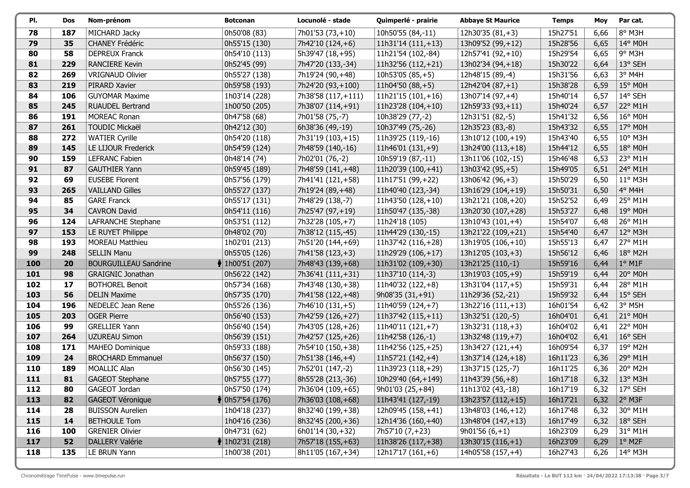| PI. | Dos | Nom-prénom                   | <b>Botconan</b>           | Locunolé - stade    | Quimperlé - prairie   | <b>Abbaye St Maurice</b> | <b>Temps</b> | Moy  | Par cat.                |
|-----|-----|------------------------------|---------------------------|---------------------|-----------------------|--------------------------|--------------|------|-------------------------|
| 78  | 187 | MICHARD Jacky                | 0h50'08 (83)              | 7h01'53 (73,+10)    | 10h50'55 (84,-11)     | 12h30'35 $(81, +3)$      | 15h27'51     | 6,66 | 8° M3H                  |
| 79  | 35  | CHANEY Frédéric              | 0h55'15 (130)             | 7h42'10 (124,+6)    | $11h31'14(111,+13)$   | 13h09'52 (99,+12)        | 15h28'56     | 6,65 | 14° M0H                 |
| 80  | 58  | <b>DEPREUX Franck</b>        | 0h54'10 (113)             | 5h39'47 (18,+95)    | 11h21'54 (102,-84)    | 12h57'41 (92,+10)        | 15h29'54     | 6,65 | 9° M3H                  |
| 81  | 229 | <b>RANCIERE Kevin</b>        | 0h52'45 (99)              | 7h47'20 (133,-34)   | 11h32'56 (112,+21)    | 13h02'34 (94,+18)        | 15h30'22     | 6,64 | 13° SEH                 |
| 82  | 269 | <b>VRIGNAUD Olivier</b>      | 0h55'27 (138)             | 7h19'24 (90,+48)    | $10h53'05(85,+5)$     | 12h48'15 (89,-4)         | 15h31'56     | 6,63 | 3° M4H                  |
| 83  | 219 | PIRARD Xavier                | 0h59'58 (193)             | 7h24'20 (93,+100)   | 11h04'50 $(88, +5)$   | 12h42'04 (87,+1)         | 15h38'28     | 6,59 | 15° M0H                 |
| 84  | 106 | <b>GUYOMAR Maxime</b>        | 1h03'14 (228)             | 7h38'58 (117, +111) | $11h21'15(101,+16)$   | 13h07'14 (97,+4)         | 15h40'14     | 6,57 | 14° SEH                 |
| 85  | 245 | <b>RUAUDEL Bertrand</b>      | 1h00'50 (205)             | 7h38'07 (114,+91)   | 11h23'28 (104,+10)    | 12h59'33 (93,+11)        | 15h40'24     | 6,57 | 22° M1H                 |
| 86  | 191 | <b>MOREAC Ronan</b>          | 0h47'58 (68)              | 7h01'58 (75,-7)     | 10h38'29 (77,-2)      | 12h31'51 (82,-5)         | 15h41'32     | 6,56 | 16° M0H                 |
| 87  | 261 | <b>TOUDIC Mickaël</b>        | 0h42'12 (30)              | 6h38'36 (49,-19)    | 10h37'49 (75,-26)     | 12h35'23 (83,-8)         | 15h43'32     | 6,55 | 17° M0H                 |
| 88  | 272 | <b>WATIER Cyrille</b>        | 0h54'20 (118)             | 7h31'19 (103,+15)   | 11h39'25 (119,-16)    | 13h10'12 (100,+19)       | 15h43'40     | 6,55 | 10° M3H                 |
| 89  | 145 | LE LIJOUR Frederick          | 0h54'59 (124)             | 7h48'59 (140,-16)   | $11h46'01(131,+9)$    | 13h24'00 (113,+18)       | 15h44'12     | 6,55 | 18° M0H                 |
| 90  | 159 | LEFRANC Fabien               | 0h48'14 (74)              | 7h02'01 (76,-2)     | 10h59'19 (87,-11)     | 13h11'06 (102,-15)       | 15h46'48     | 6,53 | 23° M1H                 |
| 91  | 87  | <b>GAUTHIER Yann</b>         | 0h59'45 (189)             | 7h48'59 (141,+48)   | 11h20'39 (100,+41)    | 13h03'42 (95,+5)         | 15h49'05     | 6,51 | 24° M1H                 |
| 92  | 69  | <b>EUSEBE Florent</b>        | 0h57'56 (179)             | 7h41'41 (121,+58)   | 11h17'51 (99,+22)     | 13h06'42 (96,+3)         | 15h50'29     | 6,50 | 11° M3H                 |
| 93  | 265 | <b>VAILLAND Gilles</b>       | 0h55'27 (137)             | 7h19'24 (89,+48)    | 11h40'40 (123,-34)    | 13h16'29 (104, +19)      | 15h50'31     | 6,50 | 4° M4H                  |
| 94  | 85  | <b>GARE Franck</b>           | 0h55'17 (131)             | 7h48'29 (138,-7)    | 11h43'50 (128,+10)    | 13h21'21 (108,+20)       | 15h52'52     | 6,49 | 25° M1H                 |
| 95  | 34  | <b>CAVRON David</b>          | 0h54'11 (116)             | 7h25'47 (97,+19)    | 11h50'47 (135,-38)    | 13h20'30 (107,+28)       | 15h53'27     | 6,48 | 19° M0H                 |
| 96  | 124 | LAFRANCHE Stephane           | 0h53'51 (112)             | 7h32'28 (105,+7)    | 11h24'18 (105)        | 13h10'43 (101,+4)        | 15h54'07     | 6,48 | 26° M1H                 |
| 97  | 153 | LE RUYET Philippe            | 0h48'02 (70)              | 7h38'12 (115,-45)   | 11h44'29 (130,-15)    | 13h21'22 (109,+21)       | 15h54'40     | 6,47 | 12° M3H                 |
| 98  | 193 | <b>MOREAU Matthieu</b>       | 1h02'01 (213)             | 7h51'20 (144,+69)   | 11h37'42 (116,+28)    | 13h19'05 (106,+10)       | 15h55'13     | 6,47 | 27° M1H                 |
| 99  | 248 | <b>SELLIN Manu</b>           | 0h55'05 (126)             | 7h41'58 (123,+3)    | 11h29'29 (106,+17)    | 13h12'05 (103,+3)        | 15h56'12     | 6,46 | 18° M2H                 |
| 100 | 20  | <b>BOURGUILLEAU Sandrine</b> | $ $ 1h00'51 (207)         | 7h48'43 (139,+68)   | 11h31'02 (109,+30)    | 13h21'25 (110,-1)        | 15h59'16     | 6,44 | $1°$ M1F                |
| 101 | 98  | <b>GRAIGNIC Jonathan</b>     | 0h56'22 (142)             | 7h36'41 (111,+31)   | 11h37'10 (114,-3)     | 13h19'03 (105,+9)        | 15h59'19     | 6,44 | 20° M0H                 |
| 102 | 17  | <b>BOTHOREL Benoit</b>       | 0h57'34 (168)             | 7h43'48 (130,+38)   | 11h40'32 (122,+8)     | 13h31'04 (117, +5)       | 15h59'31     | 6,44 | 28° M1H                 |
| 103 | 56  | <b>DELIN Maxime</b>          | 0h57'35 (170)             | 7h41'58 (122,+48)   | 9h08'35 (31,+91)      | 11h29'36 (52,-21)        | 15h59'32     | 6,44 | 15° SEH                 |
| 104 | 196 | NEDELEC Jean Rene            | 0h55'26 (136)             | 7h46'10 (131,+5)    | 11h40'59 (124,+7)     | 13h22'16 (111,+13)       | 16h01'54     | 6,42 | 3° M5H                  |
| 105 | 203 | <b>OGER Pierre</b>           | 0h56'40 (153)             | 7h42'59 (126,+27)   | 11h37'42 (115,+11)    | 13h32'51 (120,-5)        | 16h04'01     | 6,41 | 21° M0H                 |
| 106 | 99  | <b>GRELLIER Yann</b>         | 0h56'40 (154)             | 7h43'05 (128,+26)   | $11h40'11(121,+7)$    | 13h32'31 (118,+3)        | 16h04'02     | 6,41 | 22° M0H                 |
| 107 | 264 | <b>UZUREAU Simon</b>         | 0h56'39 (151)             | 7h42'57 (125,+26)   | 11h42'58 (126,-1)     | 13h32'48 (119,+7)        | 16h04'02     | 6,41 | 16° SEH                 |
| 108 | 171 | <b>MAHEO Dominique</b>       | 0h59'33 (188)             | 7h54'10 (150,+38)   | 11h42'56 (125,+25)    | 13h34'27 (121,+4)        | 16h09'54     | 6,37 | 19° M2H                 |
| 109 | 24  | <b>BROCHARD Emmanuel</b>     | 0h56'37 (150)             | 7h51'38 (146,+4)    | $11h57'21(142,+4)$    | 13h37'14 (124,+18)       | 16h11'23     | 6,36 | 29° M1H                 |
| 110 | 189 | <b>MOALLIC Alan</b>          | 0h56'30 (145)             | 7h52'01 (147,-2)    | 11h39'23 (118,+29)    | 13h37'15 (125,-7)        | 16h11'25     | 6,36 | 20° M2H                 |
| 111 | 81  | <b>GAGEOT Stephane</b>       | 0h57'55 (177)             | 8h55'28 (213,-36)   | 10h29'40 (64,+149)    | $11h43'39(56,+8)$        | 16h17'18     | 6,32 | 13° M3H                 |
| 112 | 80  | GAGEOT Jordan                | 0h57'50 (174)             | 7h36'04 (109,+65)   | 9h01'03 (25,+84)      | 11h13'02 (43,-18)        | 16h17'19     |      | 6,32   17° SEH          |
| 113 | 82  | <b>GAGEOT Véronique</b>      | $\parallel$ 0h57'54 (176) | 7h36'03 (108,+68)   | $ 11h43'41(127,-19) $ | 13h23'57 (112,+15)       | 16h17'21     |      | 6,32 2° M3F             |
| 114 | 28  | <b>BUISSON Aurelien</b>      | 1h04'18 (237)             | 8h32'40 (199,+38)   | 12h09'45 (158,+41)    | 13h48'03 (146,+12)       | 16h17'48     | 6,32 | $ 30^{\circ}$ M1H       |
| 115 | 14  | <b>BETHOULE Tom</b>          | 1h04'16 (236)             | 8h32'45 (200,+36)   | 12h14'36 (160,+40)    | 13h48'04 (147, +13)      | 16h17'49     |      | 6,32   $18^{\circ}$ SEH |
| 116 | 100 | <b>GRENIER Olivier</b>       | 0h47'31 (62)              | 6h01'14 (30,+32)    | 7h57'10 (7,+23)       | $9h01'56(6,+1)$          | 16h23'09     | 6,29 | $ 31^{\circ}$ M1H       |
| 117 | 52  | <b>DALLERY Valérie</b>       | $\parallel$ 1h02'31 (218) | 7h57'18 (155, +63)  | 11h38'26 (117,+38)    | 13h30'15 (116,+1)        | 16h23'09     | 6,29 | $1°$ M2F                |
| 118 | 135 | LE BRUN Yann                 | 1h00'38 (201)             | 8h11'05 (167, + 34) | 12h17'17 (161,+6)     | 14h05'58 (157,+4)        | 16h27'43     | 6,26 | $14^{\circ}$ M3H        |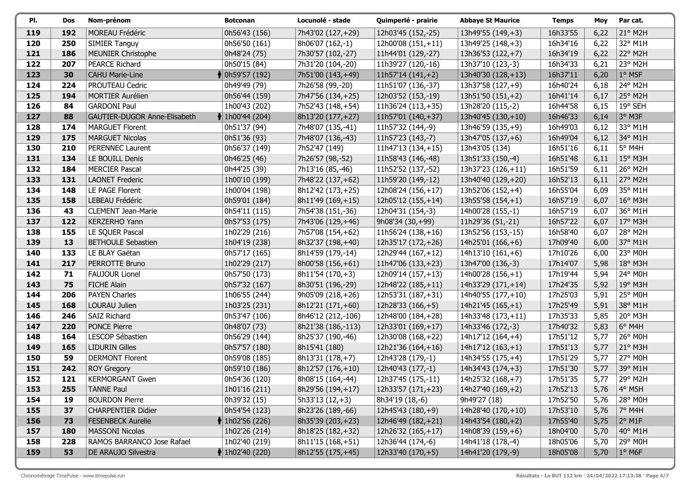| PI. | Dos | Nom-prénom                          | <b>Botconan</b>             | Locunolé - stade    | Quimperlé - prairie  | <b>Abbaye St Maurice</b> | <b>Temps</b> | Moy  | Par cat.         |
|-----|-----|-------------------------------------|-----------------------------|---------------------|----------------------|--------------------------|--------------|------|------------------|
| 119 | 192 | MOREAU Frédéric                     | 0h56'43 (156)               | 7h43'02 (127,+29)   | 12h03'45 (152,-25)   | 13h49'55 (149,+3)        | 16h33'55     | 6,22 | 21° M2H          |
| 120 | 250 | <b>SIMIER Tanguy</b>                | 0h56'50 (161)               | 8h06'07 (162,-1)    | 12h00'08 (151,+11)   | 13h49'25 (148,+3)        | 16h34'16     | 6,22 | 32° M1H          |
| 121 | 186 | <b>MEUNIER Christophe</b>           | 0h48'24 (75)                | 7h30'57 (102,-27)   | 11h44'01 (129,-27)   | 13h36'53 (122,+7)        | 16h34'19     | 6,22 | 22° M2H          |
| 122 | 207 | <b>PEARCE Richard</b>               | 0h50'15 (84)                | 7h31'20 (104,-20)   | 11h39'27 (120,-16)   | 13h37'10 (123,-3)        | 16h34'33     | 6,21 | 23° M2H          |
| 123 | 30  | <b>CAHU Marie-Line</b>              | 10h59'57 (192)              | 7h51'00 (143,+49)   | $11h57'14(141,+2)$   | 13h40'30 (128,+13)       | 16h37'11     | 6,20 | $1°$ M5F         |
| 124 | 224 | PROUTEAU Cedric                     | 0h49'49 (79)                | 7h26'58 (99,-20)    | 11h51'07 (136,-37)   | 13h37'58 (127, +9)       | 16h40'24     | 6,18 | 24° M2H          |
| 125 | 194 | <b>MORTIER Aurélien</b>             | 0h56'44 (159)               | 7h47'56 (134,+25)   | 12h03'52 (153,-19)   | 13h51'50 (151,+2)        | 16h41'14     | 6,17 | 25° M2H          |
| 126 | 84  | <b>GARDONI Paul</b>                 | 1h00'43 (202)               | 7h52'43 (148,+54)   | $11h36'24(113,+35)$  | 13h28'20 (115,-2)        | 16h44'58     | 6,15 | 19° SEH          |
| 127 | 88  | <b>GAUTIER-DUGOR Anne-Elisabeth</b> | <b>♦ 1h00'44 (204)</b>      | 8h13'20 (177, +27)  | $11h57'01(140,+37)$  | 13h40'45 (130,+10)       | 16h46'33     | 6,14 | 3° M3F           |
| 128 | 174 | <b>MARGUET Florent</b>              | 0h51'37 (94)                | 7h48'07 (135,-41)   | 11h57'32 (144,-9)    | 13h46'59 (135,+9)        | 16h49'03     | 6,12 | 33° M1H          |
| 129 | 175 | <b>MARGUET Nicolas</b>              | 0h51'36 (93)                | 7h48'07 (136,-43)   | 11h57'23 (143,-7)    | 13h47'05 (137,+6)        | 16h49'04     | 6,12 | 34° M1H          |
| 130 | 210 | PERENNEC Laurent                    | 0h56'37 (149)               | 7h52'47 (149)       | $11h47'13(134,+15)$  | 13h43'05 (134)           | 16h51'16     | 6,11 | 5° M4H           |
| 131 | 134 | LE BOUILL Denis                     | 0h46'25 (46)                | 7h26'57 (98,-52)    | 11h58'43 (146,-48)   | 13h51'33 (150,-4)        | 16h51'48     | 6,11 | 15° M3H          |
| 132 | 184 | <b>MERCIER Pascal</b>               | 0h44'25 (39)                | 7h13'16 (85,-46)    | 11h52'52 (137,-52)   | 13h37'23 (126,+11)       | 16h51'59     | 6,11 | 26° M2H          |
| 133 | 131 | <b>LAONET Frederic</b>              | 1h00'10 (199)               | 7h48'22 (137,+62)   | 11h59'20 (149,-12)   | 13h40'40 (129,+20)       | 16h52'13     | 6,11 | 27° M2H          |
| 134 | 148 | LE PAGE Florent                     | 1h00'04 (198)               | 8h12'42 (173, +25)  | 12h08'24 (156,+17)   | 13h52'06 (152,+4)        | 16h55'04     | 6,09 | 35° M1H          |
| 135 | 158 | LEBEAU Frédéric                     | 0h59'01 (184)               | 8h11'49 (169,+15)   | 12h05'12 (155,+14)   | $13h55'58(154,+1)$       | 16h57'19     | 6,07 | 16° M3H          |
| 136 | 43  | <b>CLEMENT Jean-Marie</b>           | 0h54'11 (115)               | 7h54'38 (151,-36)   | 12h04'31 (154,-3)    | 14h00'28 (155,-1)        | 16h57'19     | 6,07 | 36° M1H          |
| 137 | 122 | KERZERHO Yann                       | 0h57'53 (175)               | 7h43'06 (129,+46)   | 9h08'34 (30,+99)     | 11h29'36 (51,-21)        | 16h57'22     | 6,07 | 17° M3H          |
| 138 | 155 | LE SQUER Pascal                     | 1h02'29 (216)               | 7h57'08 (154,+62)   | 11h56'24 (138,+16)   | 13h52'56 (153,-15)       | 16h58'40     | 6,07 | 28° M2H          |
| 139 | 13  | <b>BETHOULE Sebastien</b>           | 1h04'19 (238)               | 8h32'37 (198,+40)   | 12h35'17 (172,+26)   | 14h25'01 (166,+6)        | 17h09'40     | 6,00 | 37° M1H          |
| 140 | 133 | LE BLAY Gaëtan                      | 0h57'17(165)                | 8h14'59 (179,-14)   | 12h29'44 (167,+12)   | 14h13'10 (161,+6)        | 17h10'26     | 6,00 | 23° M0H          |
| 141 | 217 | PERROTTE Bruno                      | 1h02'29 (217)               | 8h00'58 (156,+61)   | $11h47'06(133,+23)$  | 13h47'00 (136,-3)        | 17h14'07     | 5,98 | 18° M3H          |
| 142 | 71  | <b>FAUJOUR Lionel</b>               | 0h57'50 (173)               | 8h11'54 (170,+3)    | 12h09'14 (157, +13)  | 14h00'28 (156,+1)        | 17h19'44     | 5,94 | 24° M0H          |
| 143 | 75  | <b>FICHE Alain</b>                  | 0h57'32 (167)               | 8h30'51 (196,-29)   | 12h48'22 (185,+11)   | 14h33'29 (171,+14)       | 17h24'35     | 5,92 | 19° M3H          |
| 144 | 206 | <b>PAYEN Charles</b>                | 1h06'55 (244)               | 9h05'09 (218,+26)   | 12h53'31 (187, + 31) | 14h40'55 (177,+10)       | 17h25'03     | 5,91 | 25° M0H          |
| 145 | 168 | LOURAU Julien                       | 1h03'25 (231)               | 8h12'21 (171,+60)   | $ 12h28'33(166,+5) $ | 14h21'45 (165, +1)       | 17h25'49     | 5,91 | 38° M1H          |
| 146 | 246 | SAIZ Richard                        | 0h53'47 (106)               | 8h46'12 (212,-106)  | 12h48'00 (184,+28)   | 14h33'48 (173,+11)       | 17h35'33     | 5,85 | 20° M3H          |
| 147 | 220 | <b>PONCE Pierre</b>                 | 0h48'07 (73)                | 8h21'38 (186,-113)  | $12h33'01(169,+17)$  | 14h33'46 (172,-3)        | 17h40'32     | 5,83 | $6^{\circ}$ M4H  |
| 148 | 164 | LESCOP Sébastien                    | 0h56'29 (144)               | 8h25'37 (190,-46)   | 12h30'08 (168,+22)   | 14h17'12 (164,+4)        | 17h51'12     | 5,77 | 26° M0H          |
| 149 | 165 | <b>LIDURIN Gilles</b>               | 0h57'57 (180)               | 8h15'41 (180)       | 12h21'36 (164,+16)   | 14h17'12 (163,+1)        | 17h51'13     | 5,77 | 21° M3H          |
| 150 | 59  | <b>DERMONT Florent</b>              | 0h59'08 (185)               | 8h13'31 (178, +7)   | 12h43'28 (179,-1)    | 14h34'55 (175,+4)        | 17h51'29     | 5,77 | 27° M0H          |
| 151 | 242 | <b>ROY Gregory</b>                  | 0h59'10 (186)               | 8h12'57 (176,+10)   | 12h40'43 (177,-1)    | 14h34'43 (174,+3)        | 17h51'30     | 5,77 | 39° M1H          |
| 152 | 121 | <b>KERMORGANT Gwen</b>              | 0h54'36 (120)               | 8h08'15 (164,-44)   | 12h37'45 (175,-11)   | 14h25'32 (168,+7)        | 17h51'35     | 5,77 | 29° M2H          |
| 153 | 255 | <b>TANNE Paul</b>                   | 1h01'16 (211)               | 8h29'56 (194,+17)   | 12h33'57 (171,+23)   | 14h27'40 (169,+2)        | 17h52'13     | 5,76 | $4°$ M5H         |
| 154 | 19  | <b>BOURDON Pierre</b>               | 0h39'32 (15)                | $5h33'13(12,+3)$    | 8h34'19 (18,-6)      | 9h49'27 (18)             | 17h52'50     | 5,76 | 28° M0H          |
| 155 | 37  | <b>CHARPENTIER Didier</b>           | 0h54'54 (123)               | 8h23'26 (189,-66)   | 12h45'43 (180,+9)    | 14h28'40 (170,+10)       | 17h53'10     | 5,76 | 7° M4H           |
| 156 | 73  | <b>FESENBECK Aurelie</b>            | 1h02'56 (226)               | 8h35'39 (203,+23)   | 12h46'49 (182,+21)   | 14h43'54 (180, +2)       | 17h55'40     | 5,75 | $2^{\circ}$ M1F  |
| 157 | 180 | <b>MASSONI Nicolas</b>              | 1h02'26 (214)               | 8h18'25 (182, + 32) | 12h26'32 (165, +17)  | 14h08'39 (159,+6)        | 18h04'00     | 5,70 | $40^{\circ}$ M1H |
| 158 | 228 | RAMOS BARRANCO Jose Rafael          | 1h02'40 (219)               | 8h11'15 (168,+51)   | 12h36'44 (174,-6)    | 14h41'18 (178,-4)        | 18h05'06     | 5,70 | 29° M0H          |
| 159 | 53  | DE ARAUJO Silvestra                 | $\frac{1}{2}$ 1h02'40 (220) | 8h12'55 (175,+45)   | 12h33'40 (170,+5)    | 14h41'20 (179,-9)        | 18h05'08     | 5,70 | $ 1^{\circ}$ M6F |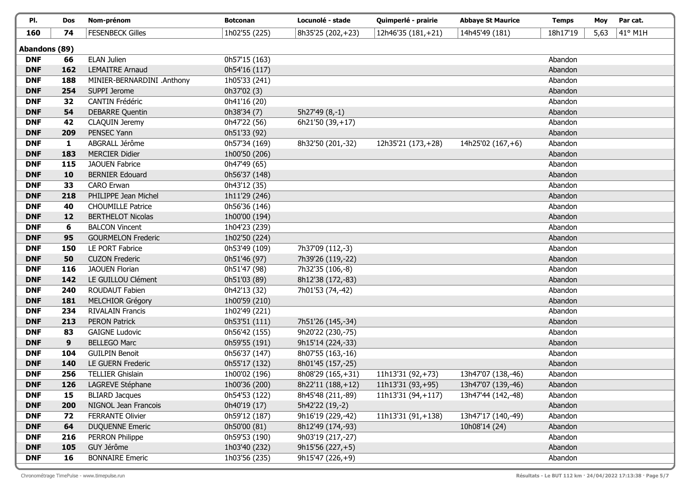| PI.           | Dos          | Nom-prénom                 | <b>Botconan</b> | Locunolé - stade  | Quimperlé - prairie | <b>Abbaye St Maurice</b> | <b>Temps</b> | Moy  | Par cat. |
|---------------|--------------|----------------------------|-----------------|-------------------|---------------------|--------------------------|--------------|------|----------|
| 160           | 74           | <b>FESENBECK Gilles</b>    | 1h02'55 (225)   | 8h35'25 (202,+23) | 12h46'35 (181,+21)  | 14h45'49 (181)           | 18h17'19     | 5,63 | 41° M1H  |
| Abandons (89) |              |                            |                 |                   |                     |                          |              |      |          |
| <b>DNF</b>    | 66           | <b>ELAN Julien</b>         | 0h57'15 (163)   |                   |                     |                          | Abandon      |      |          |
| <b>DNF</b>    | 162          | <b>LEMAITRE Arnaud</b>     | 0h54'16 (117)   |                   |                     |                          | Abandon      |      |          |
| <b>DNF</b>    | 188          | MINIER-BERNARDINI .Anthony | 1h05'33 (241)   |                   |                     |                          | Abandon      |      |          |
| <b>DNF</b>    | 254          | SUPPI Jerome               | 0h37'02 (3)     |                   |                     |                          | Abandon      |      |          |
| <b>DNF</b>    | 32           | <b>CANTIN Frédéric</b>     | 0h41'16 (20)    |                   |                     |                          | Abandon      |      |          |
| <b>DNF</b>    | 54           | <b>DEBARRE Quentin</b>     | 0h38'34 (7)     | 5h27'49 (8,-1)    |                     |                          | Abandon      |      |          |
| <b>DNF</b>    | 42           | CLAQUIN Jeremy             | 0h47'22 (56)    | 6h21'50 (39,+17)  |                     |                          | Abandon      |      |          |
| <b>DNF</b>    | 209          | PENSEC Yann                | 0h51'33 (92)    |                   |                     |                          | Abandon      |      |          |
| <b>DNF</b>    | $\mathbf{1}$ | ABGRALL Jérôme             | 0h57'34 (169)   | 8h32'50 (201,-32) | 12h35'21 (173,+28)  | 14h25'02 (167,+6)        | Abandon      |      |          |
| <b>DNF</b>    | 183          | <b>MERCIER Didier</b>      | 1h00'50 (206)   |                   |                     |                          | Abandon      |      |          |
| <b>DNF</b>    | 115          | <b>JAOUEN Fabrice</b>      | 0h47'49 (65)    |                   |                     |                          | Abandon      |      |          |
| <b>DNF</b>    | 10           | <b>BERNIER Edouard</b>     | 0h56'37 (148)   |                   |                     |                          | Abandon      |      |          |
| <b>DNF</b>    | 33           | <b>CARO Erwan</b>          | 0h43'12 (35)    |                   |                     |                          | Abandon      |      |          |
| <b>DNF</b>    | 218          | PHILIPPE Jean Michel       | 1h11'29 (246)   |                   |                     |                          | Abandon      |      |          |
| <b>DNF</b>    | 40           | <b>CHOUMILLE Patrice</b>   | 0h56'36 (146)   |                   |                     |                          | Abandon      |      |          |
| <b>DNF</b>    | 12           | <b>BERTHELOT Nicolas</b>   | 1h00'00 (194)   |                   |                     |                          | Abandon      |      |          |
| <b>DNF</b>    | 6            | <b>BALCON Vincent</b>      | 1h04'23 (239)   |                   |                     |                          | Abandon      |      |          |
| <b>DNF</b>    | 95           | <b>GOURMELON Frederic</b>  | 1h02'50 (224)   |                   |                     |                          | Abandon      |      |          |
| <b>DNF</b>    | 150          | LE PORT Fabrice            | 0h53'49 (109)   | 7h37'09 (112,-3)  |                     |                          | Abandon      |      |          |
| <b>DNF</b>    | 50           | <b>CUZON Frederic</b>      | 0h51'46 (97)    | 7h39'26 (119,-22) |                     |                          | Abandon      |      |          |
| <b>DNF</b>    | 116          | <b>JAOUEN Florian</b>      | 0h51'47 (98)    | 7h32'35 (106,-8)  |                     |                          | Abandon      |      |          |
| <b>DNF</b>    | 142          | LE GUILLOU Clément         | 0h51'03 (89)    | 8h12'38 (172,-83) |                     |                          | Abandon      |      |          |
| <b>DNF</b>    | 240          | ROUDAUT Fabien             | 0h42'13 (32)    | 7h01'53 (74,-42)  |                     |                          | Abandon      |      |          |
| <b>DNF</b>    | 181          | <b>MELCHIOR Grégory</b>    | 1h00'59 (210)   |                   |                     |                          | Abandon      |      |          |
| <b>DNF</b>    | 234          | <b>RIVALAIN Francis</b>    | 1h02'49 (221)   |                   |                     |                          | Abandon      |      |          |
| <b>DNF</b>    | 213          | <b>PERON Patrick</b>       | 0h53'51 (111)   | 7h51'26 (145,-34) |                     |                          | Abandon      |      |          |
| <b>DNF</b>    | 83           | <b>GAIGNE Ludovic</b>      | 0h56'42 (155)   | 9h20'22 (230,-75) |                     |                          | Abandon      |      |          |
| <b>DNF</b>    | 9            | <b>BELLEGO Marc</b>        | 0h59'55 (191)   | 9h15'14 (224,-33) |                     |                          | Abandon      |      |          |
| <b>DNF</b>    | 104          | <b>GUILPIN Benoit</b>      | 0h56'37 (147)   | 8h07'55 (163,-16) |                     |                          | Abandon      |      |          |
| <b>DNF</b>    | 140          | <b>LE GUERN Frederic</b>   | 0h55'17 (132)   | 8h01'45 (157,-25) |                     |                          | Abandon      |      |          |
| <b>DNF</b>    | 256          | <b>TELLIER Ghislain</b>    | 1h00'02 (196)   | 8h08'29 (165,+31) | 11h13'31 (92,+73)   | 13h47'07 (138,-46)       | Abandon      |      |          |
| <b>DNF</b>    | 126          | LAGREVE Stéphane           | 1h00'36 (200)   | 8h22'11 (188,+12) | 11h13'31 (93,+95)   | 13h47'07 (139,-46)       | Abandon      |      |          |
| <b>DNF</b>    | 15           | <b>BLIARD Jacques</b>      | 0h54'53 (122)   | 8h45'48 (211,-89) | 11h13'31 (94,+117)  | 13h47'44 (142,-48)       | Abandon      |      |          |
| <b>DNF</b>    | 200          | NIGNOL Jean Francois       | 0h40'19 (17)    | 5h42'22 (19,-2)   |                     |                          | Abandon      |      |          |
| <b>DNF</b>    | 72           | <b>FERRANTE Olivier</b>    | 0h59'12 (187)   | 9h16'19 (229,-42) | 11h13'31 (91,+138)  | 13h47'17 (140,-49)       | Abandon      |      |          |
| <b>DNF</b>    | 64           | <b>DUQUENNE Emeric</b>     | 0h50'00 (81)    | 8h12'49 (174,-93) |                     | 10h08'14 (24)            | Abandon      |      |          |
| <b>DNF</b>    | 216          | PERRON Philippe            | 0h59'53 (190)   | 9h03'19 (217,-27) |                     |                          | Abandon      |      |          |
| <b>DNF</b>    | 105          | GUY Jérôme                 | 1h03'40 (232)   | $9h15'56(227,+5)$ |                     |                          | Abandon      |      |          |
| <b>DNF</b>    | 16           | <b>BONNAIRE Emeric</b>     | 1h03'56 (235)   | 9h15'47 (226,+9)  |                     |                          | Abandon      |      |          |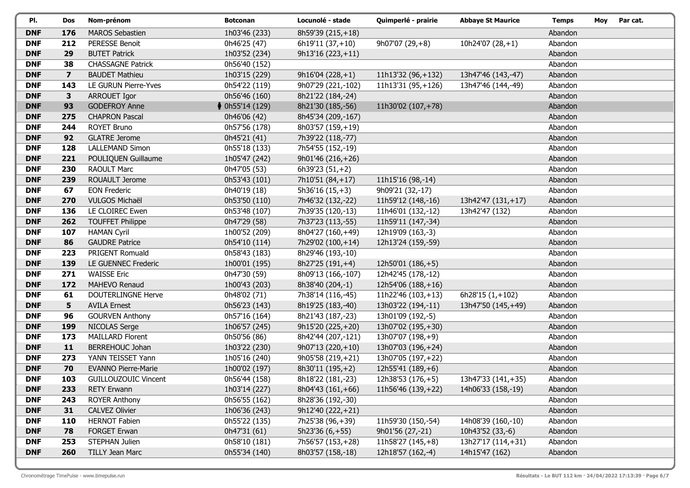| PI.        | Dos            | Nom-prénom                  | <b>Botconan</b>   | Locunolé - stade   | Quimperlé - prairie | <b>Abbaye St Maurice</b> | <b>Temps</b> | Moy | Par cat. |
|------------|----------------|-----------------------------|-------------------|--------------------|---------------------|--------------------------|--------------|-----|----------|
| <b>DNF</b> | 176            | <b>MAROS Sebastien</b>      | 1h03'46 (233)     | 8h59'39 (215,+18)  |                     |                          | Abandon      |     |          |
| <b>DNF</b> | 212            | <b>PERESSE Benoit</b>       | 0h46'25 (47)      | $6h19'11(37,+10)$  | $9h07'07(29,+8)$    | 10h24'07 $(28, +1)$      | Abandon      |     |          |
| <b>DNF</b> | 29             | <b>BUTET Patrick</b>        | 1h03'52 (234)     | $9h13'16(223,+11)$ |                     |                          | Abandon      |     |          |
| <b>DNF</b> | 38             | <b>CHASSAGNE Patrick</b>    | 0h56'40 (152)     |                    |                     |                          | Abandon      |     |          |
| <b>DNF</b> | $\overline{7}$ | <b>BAUDET Mathieu</b>       | 1h03'15 (229)     | $9h16'04(228,+1)$  | 11h13'32 (96,+132)  | 13h47'46 (143,-47)       | Abandon      |     |          |
| <b>DNF</b> | 143            | LE GURUN Pierre-Yves        | 0h54'22 (119)     | 9h07'29 (221,-102) | 11h13'31 (95,+126)  | 13h47'46 (144,-49)       | Abandon      |     |          |
| <b>DNF</b> | $\mathbf{3}$   | ARROUET Igor                | 0h56'46 (160)     | 8h21'22 (184,-24)  |                     |                          | Abandon      |     |          |
| <b>DNF</b> | 93             | <b>GODEFROY Anne</b>        | $*$ 0h55'14 (129) | 8h21'30 (185,-56)  | 11h30'02 (107,+78)  |                          | Abandon      |     |          |
| <b>DNF</b> | 275            | <b>CHAPRON Pascal</b>       | 0h46'06 (42)      | 8h45'34 (209,-167) |                     |                          | Abandon      |     |          |
| <b>DNF</b> | 244            | <b>ROYET Bruno</b>          | 0h57'56 (178)     | 8h03'57 (159,+19)  |                     |                          | Abandon      |     |          |
| <b>DNF</b> | 92             | <b>GLATRE Jerome</b>        | 0h45'21 (41)      | 7h39'22 (118,-77)  |                     |                          | Abandon      |     |          |
| <b>DNF</b> | 128            | <b>LALLEMAND Simon</b>      | 0h55'18 (133)     | 7h54'55 (152,-19)  |                     |                          | Abandon      |     |          |
| <b>DNF</b> | 221            | POULIQUEN Guillaume         | 1h05'47 (242)     | 9h01'46 (216,+26)  |                     |                          | Abandon      |     |          |
| <b>DNF</b> | 230            | <b>RAOULT Marc</b>          | 0h47'05 (53)      | 6h39'23 (51,+2)    |                     |                          | Abandon      |     |          |
| <b>DNF</b> | 239            | ROUAULT Jerome              | 0h53'43 (101)     | 7h10'51 (84,+17)   | 11h15'16 (98,-14)   |                          | Abandon      |     |          |
| <b>DNF</b> | 67             | <b>EON Frederic</b>         | 0h40'19 (18)      | $5h36'16(15,+3)$   | 9h09'21 (32,-17)    |                          | Abandon      |     |          |
| <b>DNF</b> | 270            | VULGOS Michaël              | 0h53'50 (110)     | 7h46'32 (132,-22)  | 11h59'12 (148,-16)  | 13h42'47 (131,+17)       | Abandon      |     |          |
| <b>DNF</b> | 136            | LE CLOIREC Ewen             | 0h53'48 (107)     | 7h39'35 (120,-13)  | 11h46'01 (132,-12)  | 13h42'47 (132)           | Abandon      |     |          |
| <b>DNF</b> | 262            | <b>TOUFFET Philippe</b>     | 0h47'29 (58)      | 7h37'23 (113,-55)  | 11h59'11 (147,-34)  |                          | Abandon      |     |          |
| <b>DNF</b> | 107            | <b>HAMAN Cyril</b>          | 1h00'52 (209)     | 8h04'27 (160,+49)  | 12h19'09 (163,-3)   |                          | Abandon      |     |          |
| <b>DNF</b> | 86             | <b>GAUDRE Patrice</b>       | 0h54'10 (114)     | 7h29'02 (100,+14)  | 12h13'24 (159,-59)  |                          | Abandon      |     |          |
| <b>DNF</b> | 223            | PRIGENT Romuald             | 0h58'43 (183)     | 8h29'46 (193,-10)  |                     |                          | Abandon      |     |          |
| <b>DNF</b> | 139            | LE GUENNEC Frederic         | 1h00'01 (195)     | 8h27'25 (191,+4)   | 12h50'01 (186,+5)   |                          | Abandon      |     |          |
| <b>DNF</b> | 271            | <b>WAISSE Eric</b>          | 0h47'30 (59)      | 8h09'13 (166,-107) | 12h42'45 (178,-12)  |                          | Abandon      |     |          |
| <b>DNF</b> | 172            | MAHEVO Renaud               | 1h00'43 (203)     | 8h38'40 (204,-1)   | 12h54'06 (188,+16)  |                          | Abandon      |     |          |
| <b>DNF</b> | 61             | DOUTERLINGNE Herve          | 0h48'02 (71)      | 7h38'14 (116,-45)  | 11h22'46 (103,+13)  | 6h28'15 $(1,+102)$       | Abandon      |     |          |
| <b>DNF</b> | 5              | <b>AVILA Ernest</b>         | 0h56'23 (143)     | 8h19'25 (183,-40)  | 13h03'22 (194,-11)  | 13h47'50 (145,+49)       | Abandon      |     |          |
| <b>DNF</b> | 96             | <b>GOURVEN Anthony</b>      | 0h57'16 (164)     | 8h21'43 (187,-23)  | 13h01'09 (192,-5)   |                          | Abandon      |     |          |
| <b>DNF</b> | 199            | NICOLAS Serge               | 1h06'57 (245)     | 9h15'20 (225,+20)  | 13h07'02 (195,+30)  |                          | Abandon      |     |          |
| <b>DNF</b> | 173            | <b>MAILLARD Florent</b>     | 0h50'56 (86)      | 8h42'44 (207,-121) | 13h07'07 (198,+9)   |                          | Abandon      |     |          |
| <b>DNF</b> | 11             | BERREHOUC Johan             | 1h03'22 (230)     | $9h07'13(220,+10)$ | 13h07'03 (196,+24)  |                          | Abandon      |     |          |
| <b>DNF</b> | 273            | YANN TEISSET Yann           | 1h05'16 (240)     | 9h05'58 (219,+21)  | 13h07'05 (197,+22)  |                          | Abandon      |     |          |
| <b>DNF</b> | 70             | <b>EVANNO Pierre-Marie</b>  | 1h00'02 (197)     | 8h30'11 (195, +2)  | 12h55'41 (189,+6)   |                          | Abandon      |     |          |
| <b>DNF</b> | 103            | <b>GUILLOUZOUIC Vincent</b> | 0h56'44 (158)     | 8h18'22 (181,-23)  | 12h38'53 (176,+5)   | 13h47'33 (141,+35)       | Abandon      |     |          |
| <b>DNF</b> | 233            | <b>RETY Erwann</b>          | 1h03'14 (227)     | 8h04'43 (161,+66)  | 11h56'46 (139,+22)  | 14h06'33 (158,-19)       | Abandon      |     |          |
| <b>DNF</b> | 243            | <b>ROYER Anthony</b>        | 0h56'55 (162)     | 8h28'36 (192,-30)  |                     |                          | Abandon      |     |          |
| <b>DNF</b> | 31             | <b>CALVEZ Olivier</b>       | 1h06'36 (243)     | 9h12'40 (222, +21) |                     |                          | Abandon      |     |          |
| <b>DNF</b> | 110            | <b>HERNOT Fabien</b>        | 0h55'22 (135)     | 7h25'38 (96,+39)   | 11h59'30 (150,-54)  | 14h08'39 (160,-10)       | Abandon      |     |          |
| <b>DNF</b> | 78             | <b>FORGET Erwan</b>         | 0h47'31 (61)      | $5h23'36(6,+55)$   | 9h01'56 (27,-21)    | 10h43'52 (33,-6)         | Abandon      |     |          |
| <b>DNF</b> | 253            | STEPHAN Julien              | 0h58'10 (181)     | 7h56'57 (153,+28)  | 11h58'27 (145,+8)   | 13h27'17 (114,+31)       | Abandon      |     |          |
| <b>DNF</b> | 260            | TILLY Jean Marc             | 0h55'34 (140)     | 8h03'57 (158,-18)  | 12h18'57 (162,-4)   | 14h15'47 (162)           | Abandon      |     |          |